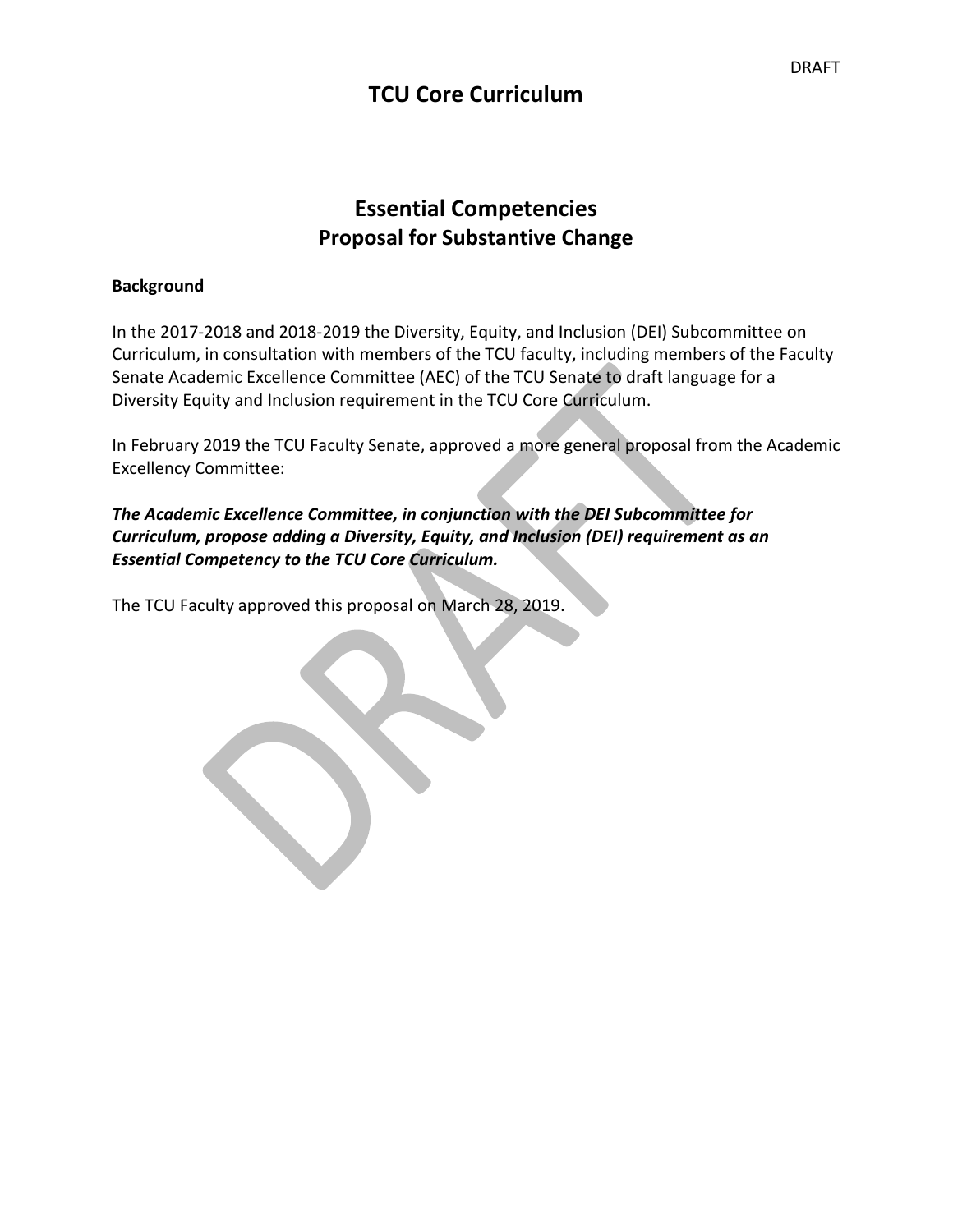## **TCU Core Curriculum**

# **Essential Competencies Proposal for Substantive Change**

### **Background**

In the 2017-2018 and 2018-2019 the Diversity, Equity, and Inclusion (DEI) Subcommittee on Curriculum, in consultation with members of the TCU faculty, including members of the Faculty Senate Academic Excellence Committee (AEC) of the TCU Senate to draft language for a Diversity Equity and Inclusion requirement in the TCU Core Curriculum.

In February 2019 the TCU Faculty Senate, approved a more general proposal from the Academic Excellency Committee:

## *The Academic Excellence Committee, in conjunction with the DEI Subcommittee for Curriculum, propose adding a Diversity, Equity, and Inclusion (DEI) requirement as an Essential Competency to the TCU Core Curriculum.*

The TCU Faculty approved this proposal on March 28, 2019.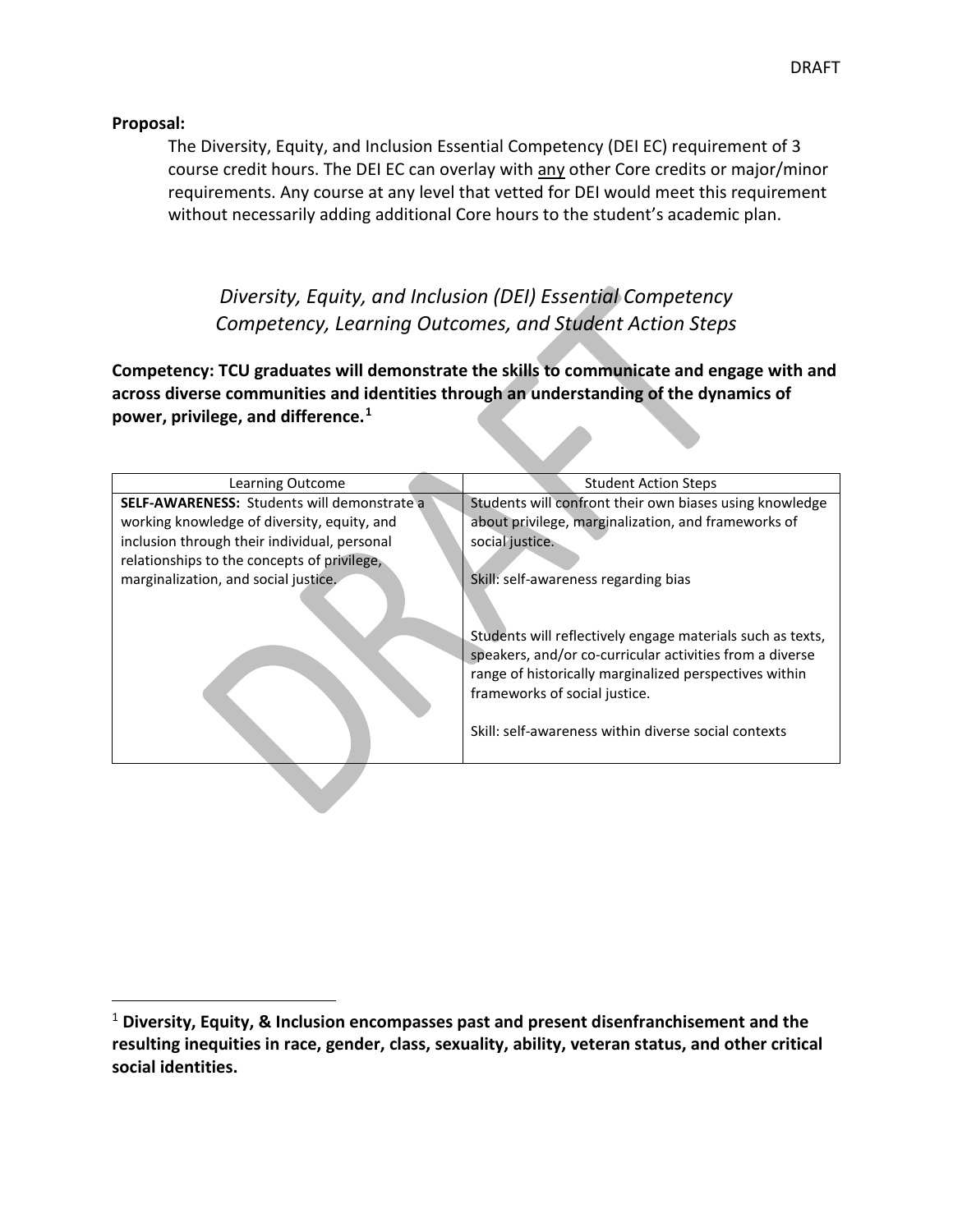#### **Proposal:**

The Diversity, Equity, and Inclusion Essential Competency (DEI EC) requirement of 3 course credit hours. The DEI EC can overlay with any other Core credits or major/minor requirements. Any course at any level that vetted for DEI would meet this requirement without necessarily adding additional Core hours to the student's academic plan.

*Diversity, Equity, and Inclusion (DEI) Essential Competency Competency, Learning Outcomes, and Student Action Steps*

**Competency: TCU graduates will demonstrate the skills to communicate and engage with and across diverse communities and identities through an understanding of the dynamics of power, privilege, and difference.[1](#page-1-0)**

| Learning Outcome                             | <b>Student Action Steps</b>                                                                                                                                                                                                                                               |
|----------------------------------------------|---------------------------------------------------------------------------------------------------------------------------------------------------------------------------------------------------------------------------------------------------------------------------|
| SELF-AWARENESS: Students will demonstrate a  | Students will confront their own biases using knowledge                                                                                                                                                                                                                   |
| working knowledge of diversity, equity, and  | about privilege, marginalization, and frameworks of                                                                                                                                                                                                                       |
| inclusion through their individual, personal | social justice.                                                                                                                                                                                                                                                           |
| relationships to the concepts of privilege,  |                                                                                                                                                                                                                                                                           |
| marginalization, and social justice.         | Skill: self-awareness regarding bias                                                                                                                                                                                                                                      |
|                                              | Students will reflectively engage materials such as texts,<br>speakers, and/or co-curricular activities from a diverse<br>range of historically marginalized perspectives within<br>frameworks of social justice.<br>Skill: self-awareness within diverse social contexts |

<span id="page-1-0"></span> <sup>1</sup> **Diversity, Equity, & Inclusion encompasses past and present disenfranchisement and the resulting inequities in race, gender, class, sexuality, ability, veteran status, and other critical social identities.**